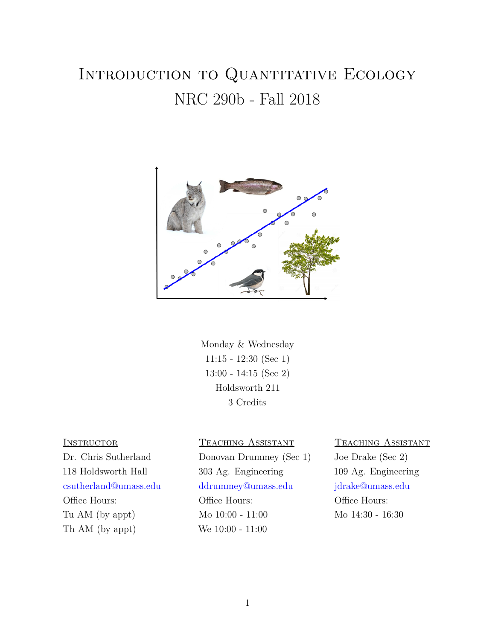# INTRODUCTION TO QUANTITATIVE ECOLOGY NRC 290b - Fall 2018



Monday & Wednesday 11:15 - 12:30 (Sec 1) 13:00 - 14:15 (Sec 2) Holdsworth 211 3 Credits

Th AM (by appt) We 10:00 - 11:00

#### INSTRUCTOR TEACHING ASSISTANT TEACHING ASSISTANT

Dr. Chris Sutherland Donovan Drummey (Sec 1) Joe Drake (Sec 2) 118 Holdsworth Hall 303 Ag. Engineering 109 Ag. Engineering csutherland@umass.edu ddrummey@umass.edu jdrake@umass.edu Office Hours: Office Hours: Office Hours: Office Hours: Tu AM (by appt) Mo 10:00 - 11:00 Mo 14:30 - 16:30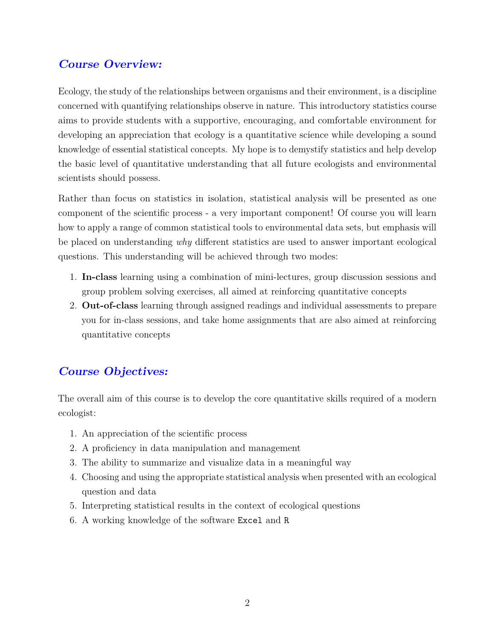# **Course Overview:**

Ecology, the study of the relationships between organisms and their environment, is a discipline concerned with quantifying relationships observe in nature. This introductory statistics course aims to provide students with a supportive, encouraging, and comfortable environment for developing an appreciation that ecology is a quantitative science while developing a sound knowledge of essential statistical concepts. My hope is to demystify statistics and help develop the basic level of quantitative understanding that all future ecologists and environmental scientists should possess.

Rather than focus on statistics in isolation, statistical analysis will be presented as one component of the scientific process - a very important component! Of course you will learn how to apply a range of common statistical tools to environmental data sets, but emphasis will be placed on understanding *why* different statistics are used to answer important ecological questions. This understanding will be achieved through two modes:

- 1. **In-class** learning using a combination of mini-lectures, group discussion sessions and group problem solving exercises, all aimed at reinforcing quantitative concepts
- 2. **Out-of-class** learning through assigned readings and individual assessments to prepare you for in-class sessions, and take home assignments that are also aimed at reinforcing quantitative concepts

### **Course Objectives:**

The overall aim of this course is to develop the core quantitative skills required of a modern ecologist:

- 1. An appreciation of the scientific process
- 2. A proficiency in data manipulation and management
- 3. The ability to summarize and visualize data in a meaningful way
- 4. Choosing and using the appropriate statistical analysis when presented with an ecological question and data
- 5. Interpreting statistical results in the context of ecological questions
- 6. A working knowledge of the software Excel and R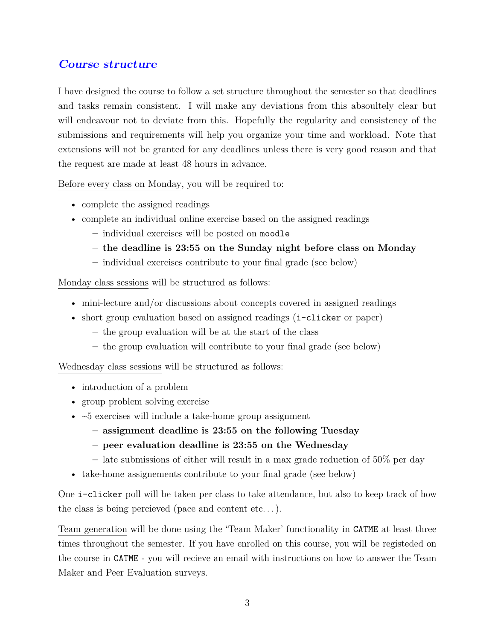# **Course structure**

I have designed the course to follow a set structure throughout the semester so that deadlines and tasks remain consistent. I will make any deviations from this absoultely clear but will endeavour not to deviate from this. Hopefully the regularity and consistency of the submissions and requirements will help you organize your time and workload. Note that extensions will not be granted for any deadlines unless there is very good reason and that the request are made at least 48 hours in advance.

Before every class on Monday, you will be required to:

- complete the assigned readings
- complete an individual online exercise based on the assigned readings
	- **–** individual exercises will be posted on moodle
	- **– the deadline is 23:55 on the Sunday night before class on Monday**
	- **–** individual exercises contribute to your final grade (see below)

Monday class sessions will be structured as follows:

- mini-lecture and/or discussions about concepts covered in assigned readings
- short group evaluation based on assigned readings (i-clicker or paper)
	- **–** the group evaluation will be at the start of the class
	- **–** the group evaluation will contribute to your final grade (see below)

Wednesday class sessions will be structured as follows:

- introduction of a problem
- group problem solving exercise
- $\sim$  5 exercises will include a take-home group assignment
	- **– assignment deadline is 23:55 on the following Tuesday**
	- **– peer evaluation deadline is 23:55 on the Wednesday**
	- **–** late submissions of either will result in a max grade reduction of 50% per day
- take-home assignements contribute to your final grade (see below)

One i-clicker poll will be taken per class to take attendance, but also to keep track of how the class is being percieved (pace and content etc. . . ).

Team generation will be done using the 'Team Maker' functionality in CATME at least three times throughout the semester. If you have enrolled on this course, you will be registeded on the course in CATME - you will recieve an email with instructions on how to answer the Team Maker and Peer Evaluation surveys.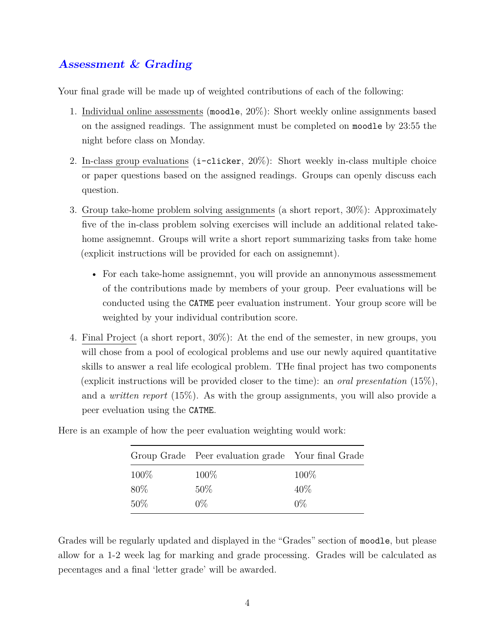# **Assessment & Grading**

Your final grade will be made up of weighted contributions of each of the following:

- 1. Individual online assessments (moodle, 20%): Short weekly online assignments based on the assigned readings. The assignment must be completed on moodle by 23:55 the night before class on Monday.
- 2. In-class group evaluations (i-clicker, 20%): Short weekly in-class multiple choice or paper questions based on the assigned readings. Groups can openly discuss each question.
- 3. Group take-home problem solving assignments (a short report, 30%): Approximately five of the in-class problem solving exercises will include an additional related takehome assignemnt. Groups will write a short report summarizing tasks from take home (explicit instructions will be provided for each on assignemnt).
	- For each take-home assignemnt, you will provide an annonymous assessmement of the contributions made by members of your group. Peer evaluations will be conducted using the CATME peer evaluation instrument. Your group score will be weighted by your individual contribution score.
- 4. Final Project (a short report, 30%): At the end of the semester, in new groups, you will chose from a pool of ecological problems and use our newly aquired quantitative skills to answer a real life ecological problem. THe final project has two components (explicit instructions will be provided closer to the time): an *oral presentation* (15%), and a *written report* (15%). As with the group assignments, you will also provide a peer eveluation using the CATME.

|        | Group Grade Peer evaluation grade Your final Grade |       |
|--------|----------------------------------------------------|-------|
| 100\%  | $100\%$                                            | 100%  |
| $80\%$ | $50\%$                                             | 40%   |
| 50%    | $0\%$                                              | $0\%$ |

Here is an example of how the peer evaluation weighting would work:

Grades will be regularly updated and displayed in the "Grades" section of moodle, but please allow for a 1-2 week lag for marking and grade processing. Grades will be calculated as pecentages and a final 'letter grade' will be awarded.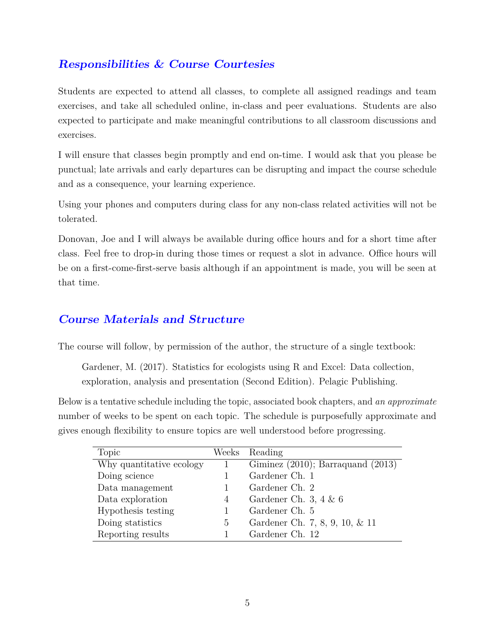# **Responsibilities & Course Courtesies**

Students are expected to attend all classes, to complete all assigned readings and team exercises, and take all scheduled online, in-class and peer evaluations. Students are also expected to participate and make meaningful contributions to all classroom discussions and exercises.

I will ensure that classes begin promptly and end on-time. I would ask that you please be punctual; late arrivals and early departures can be disrupting and impact the course schedule and as a consequence, your learning experience.

Using your phones and computers during class for any non-class related activities will not be tolerated.

Donovan, Joe and I will always be available during office hours and for a short time after class. Feel free to drop-in during those times or request a slot in advance. Office hours will be on a first-come-first-serve basis although if an appointment is made, you will be seen at that time.

### **Course Materials and Structure**

The course will follow, by permission of the author, the structure of a single textbook:

Gardener, M. (2017). Statistics for ecologists using R and Excel: Data collection, exploration, analysis and presentation (Second Edition). Pelagic Publishing.

Below is a tentative schedule including the topic, associated book chapters, and *an approximate* number of weeks to be spent on each topic. The schedule is purposefully approximate and gives enough flexibility to ensure topics are well understood before progressing.

| Topic                    |   | Weeks Reading                          |
|--------------------------|---|----------------------------------------|
| Why quantitative ecology | 1 | Giminez $(2010)$ ; Barraquand $(2013)$ |
| Doing science            |   | Gardener Ch. 1                         |
| Data management          |   | Gardener Ch. 2                         |
| Data exploration         | 4 | Gardener Ch. 3, 4 $\&$ 6               |
| Hypothesis testing       |   | Gardener Ch. 5                         |
| Doing statistics         | 5 | Gardener Ch. 7, 8, 9, 10, & 11         |
| Reporting results        |   | Gardener Ch. 12                        |